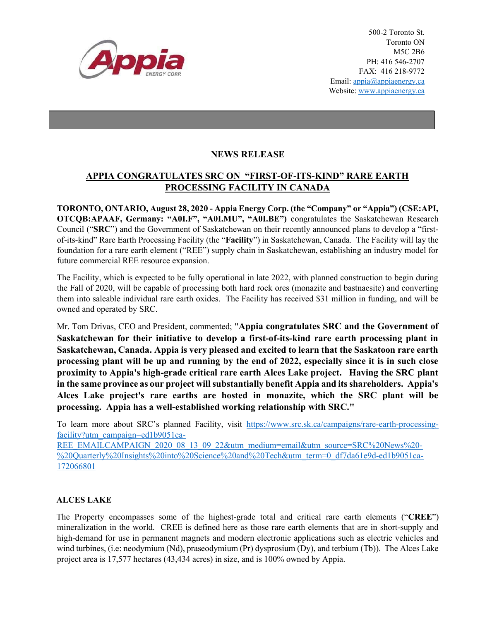

500-2 Toronto St. Toronto ON M5C 2B6 PH: 416 546-2707 FAX: 416 218-9772 Email: appia@appiaenergy.ca Website: www.appiaenergy.ca

## NEWS RELEASE

## APPIA CONGRATULATES SRC ON "FIRST-OF-ITS-KIND" RARE EARTH PROCESSING FACILITY IN CANADA

TORONTO, ONTARIO, August 28, 2020 - Appia Energy Corp. (the "Company" or "Appia") (CSE:API, OTCQB:APAAF, Germany: "A0I.F", "A0I.MU", "A0I.BE") congratulates the Saskatchewan Research Council ("SRC") and the Government of Saskatchewan on their recently announced plans to develop a "firstof-its-kind" Rare Earth Processing Facility (the "Facility") in Saskatchewan, Canada. The Facility will lay the foundation for a rare earth element ("REE") supply chain in Saskatchewan, establishing an industry model for future commercial REE resource expansion.

The Facility, which is expected to be fully operational in late 2022, with planned construction to begin during the Fall of 2020, will be capable of processing both hard rock ores (monazite and bastnaesite) and converting them into saleable individual rare earth oxides. The Facility has received \$31 million in funding, and will be owned and operated by SRC.

Mr. Tom Drivas, CEO and President, commented; "Appia congratulates SRC and the Government of Saskatchewan for their initiative to develop a first-of-its-kind rare earth processing plant in Saskatchewan, Canada. Appia is very pleased and excited to learn that the Saskatoon rare earth processing plant will be up and running by the end of 2022, especially since it is in such close proximity to Appia's high-grade critical rare earth Alces Lake project. Having the SRC plant in the same province as our project will substantially benefit Appia and its shareholders. Appia's Alces Lake project's rare earths are hosted in monazite, which the SRC plant will be processing. Appia has a well-established working relationship with SRC."

To learn more about SRC's planned Facility, visit https://www.src.sk.ca/campaigns/rare-earth-processingfacility?utm\_campaign=ed1b9051ca-

REE\_EMAILCAMPAIGN\_2020\_08\_13\_09\_22&utm\_medium=email&utm\_source=SRC%20News%20-%20Quarterly%20Insights%20into%20Science%20and%20Tech&utm\_term=0\_df7da61e9d-ed1b9051ca-172066801

## ALCES LAKE

The Property encompasses some of the highest-grade total and critical rare earth elements ("CREE") mineralization in the world. CREE is defined here as those rare earth elements that are in short-supply and high-demand for use in permanent magnets and modern electronic applications such as electric vehicles and wind turbines, (i.e: neodymium (Nd), praseodymium (Pr) dysprosium (Dy), and terbium (Tb)). The Alces Lake project area is 17,577 hectares (43,434 acres) in size, and is 100% owned by Appia.